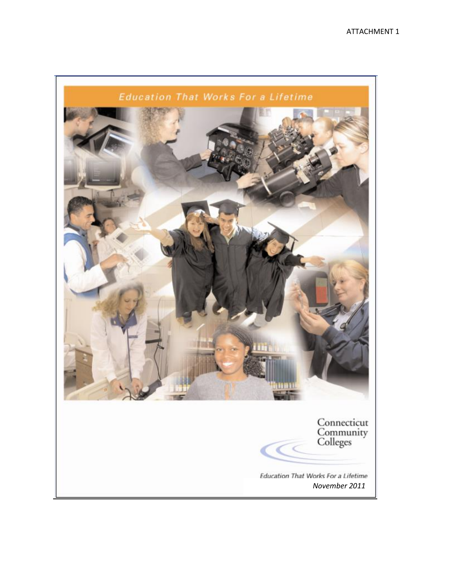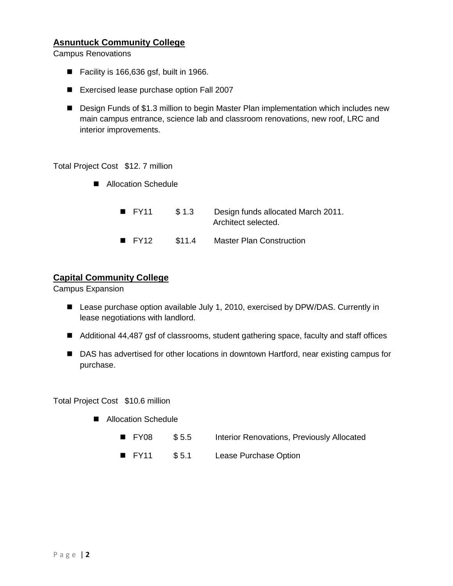# **Asnuntuck Community College**

Campus Renovations

- Facility is 166,636 gsf, built in 1966.
- Exercised lease purchase option Fall 2007
- Design Funds of \$1.3 million to begin Master Plan implementation which includes new main campus entrance, science lab and classroom renovations, new roof, LRC and interior improvements.

Total Project Cost \$12. 7 million

- Allocation Schedule
	- FY11 \$1.3 Design funds allocated March 2011. Architect selected.
	- FY12 \$11.4 Master Plan Construction

#### **Capital Community College**

Campus Expansion

- Lease purchase option available July 1, 2010, exercised by DPW/DAS. Currently in lease negotiations with landlord.
- Additional 44,487 gsf of classrooms, student gathering space, faculty and staff offices
- DAS has advertised for other locations in downtown Hartford, near existing campus for purchase.

Total Project Cost \$10.6 million

- Allocation Schedule
	- FY08 \$5.5 Interior Renovations, Previously Allocated
	- FY11 \$5.1 Lease Purchase Option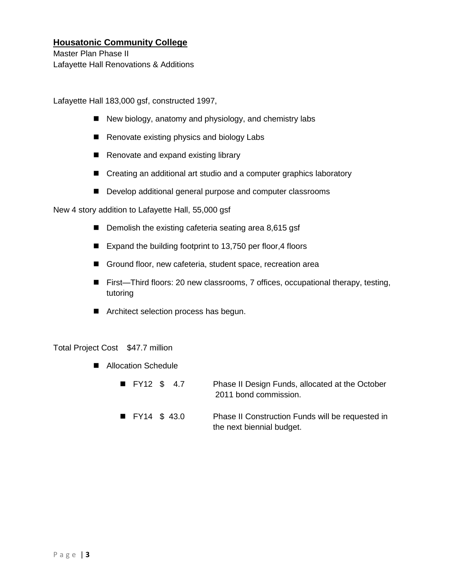# **Housatonic Community College**

Master Plan Phase II Lafayette Hall Renovations & Additions

Lafayette Hall 183,000 gsf, constructed 1997,

- New biology, anatomy and physiology, and chemistry labs
- Renovate existing physics and biology Labs
- Renovate and expand existing library
- Creating an additional art studio and a computer graphics laboratory
- Develop additional general purpose and computer classrooms

New 4 story addition to Lafayette Hall, 55,000 gsf

- Demolish the existing cafeteria seating area 8,615 gsf
- Expand the building footprint to 13,750 per floor,4 floors
- Ground floor, new cafeteria, student space, recreation area
- First—Third floors: 20 new classrooms, 7 offices, occupational therapy, testing, tutoring
- **Architect selection process has begun.**

#### Total Project Cost \$47.7 million

■ Allocation Schedule

| $\blacksquare$ FY12 \$ 4.7  |  | Phase II Design Funds, allocated at the October<br>2011 bond commission.      |
|-----------------------------|--|-------------------------------------------------------------------------------|
| $\blacksquare$ FY14 \$ 43.0 |  | Phase II Construction Funds will be requested in<br>the next biennial budget. |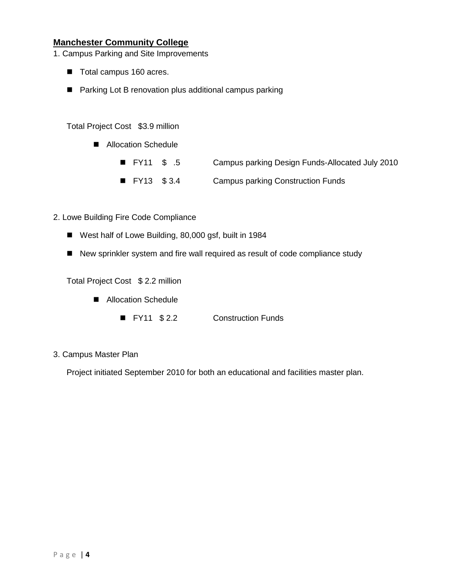# **Manchester Community College**

1. Campus Parking and Site Improvements

- Total campus 160 acres.
- Parking Lot B renovation plus additional campus parking

Total Project Cost \$3.9 million

- Allocation Schedule
	- FY11 \$ .5 Campus parking Design Funds-Allocated July 2010
	- FY13 \$3.4 Campus parking Construction Funds
- 2. Lowe Building Fire Code Compliance
	- West half of Lowe Building, 80,000 gsf, built in 1984
	- New sprinkler system and fire wall required as result of code compliance study

Total Project Cost \$ 2.2 million

- Allocation Schedule
	- FY11 \$2.2 Construction Funds
- 3. Campus Master Plan

Project initiated September 2010 for both an educational and facilities master plan.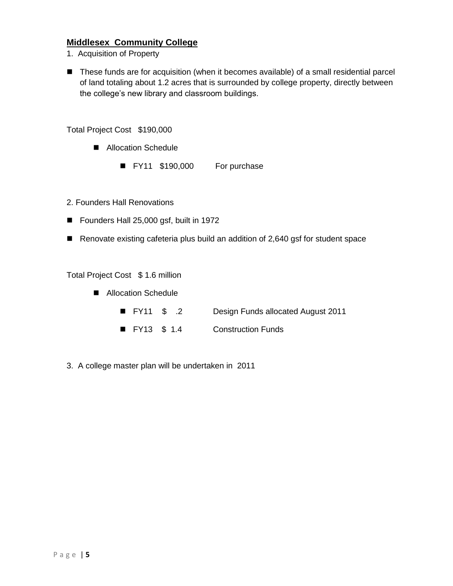## **Middlesex Community College**

- 1. Acquisition of Property
- These funds are for acquisition (when it becomes available) of a small residential parcel of land totaling about 1.2 acres that is surrounded by college property, directly between the college's new library and classroom buildings.

Total Project Cost \$190,000

- Allocation Schedule
	- FY11 \$190,000 For purchase
- 2. Founders Hall Renovations
- Founders Hall 25,000 gsf, built in 1972
- Renovate existing cafeteria plus build an addition of 2,640 gsf for student space

Total Project Cost \$ 1.6 million

- Allocation Schedule
	- FY11 \$ .2 Design Funds allocated August 2011
	- FY13 \$ 1.4 Construction Funds
- 3. A college master plan will be undertaken in 2011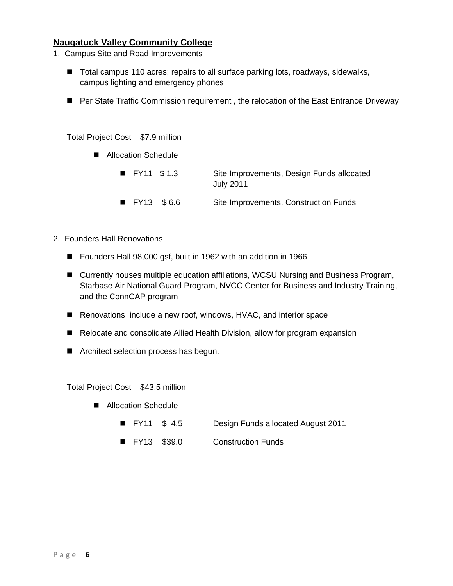### **Naugatuck Valley Community College**

- 1. Campus Site and Road Improvements
	- Total campus 110 acres; repairs to all surface parking lots, roadways, sidewalks, campus lighting and emergency phones
	- Per State Traffic Commission requirement, the relocation of the East Entrance Driveway

Total Project Cost \$7.9 million

- Allocation Schedule
	- FY11 \$1.3 Site Improvements, Design Funds allocated July 2011 ■ FY13 \$6.6 Site Improvements, Construction Funds
- 2. Founders Hall Renovations
	- Founders Hall 98,000 gsf, built in 1962 with an addition in 1966
	- Currently houses multiple education affiliations, WCSU Nursing and Business Program, Starbase Air National Guard Program, NVCC Center for Business and Industry Training, and the ConnCAP program
	- Renovations include a new roof, windows, HVAC, and interior space
	- Relocate and consolidate Allied Health Division, allow for program expansion
	- **Architect selection process has begun.**

Total Project Cost \$43.5 million

- Allocation Schedule
	- FY11 \$ 4.5 Design Funds allocated August 2011
	- FY13 \$39.0 Construction Funds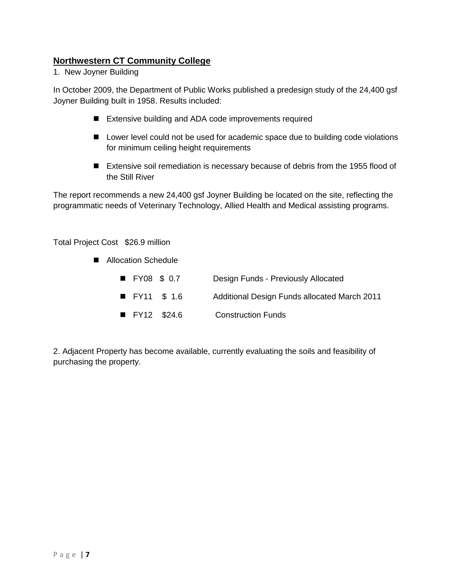# **Northwestern CT Community College**

1. New Joyner Building

In October 2009, the Department of Public Works published a predesign study of the 24,400 gsf Joyner Building built in 1958. Results included:

- Extensive building and ADA code improvements required
- Lower level could not be used for academic space due to building code violations for minimum ceiling height requirements
- Extensive soil remediation is necessary because of debris from the 1955 flood of the Still River

The report recommends a new 24,400 gsf Joyner Building be located on the site, reflecting the programmatic needs of Veterinary Technology, Allied Health and Medical assisting programs.

#### Total Project Cost \$26.9 million

- Allocation Schedule
	- FY08 \$ 0.7 Design Funds Previously Allocated ■ FY11 \$ 1.6 Additional Design Funds allocated March 2011 ■ FY12 \$24.6 Construction Funds

2. Adjacent Property has become available, currently evaluating the soils and feasibility of purchasing the property.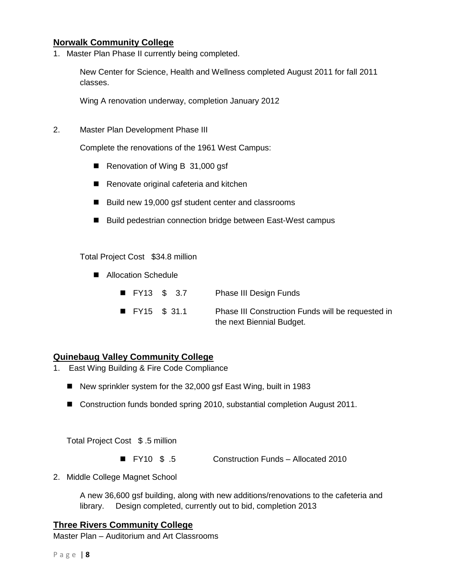## **Norwalk Community College**

1. Master Plan Phase II currently being completed.

New Center for Science, Health and Wellness completed August 2011 for fall 2011 classes.

Wing A renovation underway, completion January 2012

2. Master Plan Development Phase III

Complete the renovations of the 1961 West Campus:

- Renovation of Wing B 31,000 gsf
- Renovate original cafeteria and kitchen
- Build new 19,000 gsf student center and classrooms
- Build pedestrian connection bridge between East-West campus

Total Project Cost \$34.8 million

- Allocation Schedule
	- FY13 \$ 3.7 Phase III Design Funds
	- FY15 \$ 31.1 Phase III Construction Funds will be requested in the next Biennial Budget.

## **Quinebaug Valley Community College**

- 1. East Wing Building & Fire Code Compliance
	- New sprinkler system for the 32,000 gsf East Wing, built in 1983
	- Construction funds bonded spring 2010, substantial completion August 2011.

Total Project Cost \$ .5 million

- FY10 \$ .5 Construction Funds Allocated 2010
- 2. Middle College Magnet School

A new 36,600 gsf building, along with new additions/renovations to the cafeteria and library. Design completed, currently out to bid, completion 2013

#### **Three Rivers Community College**

Master Plan – Auditorium and Art Classrooms